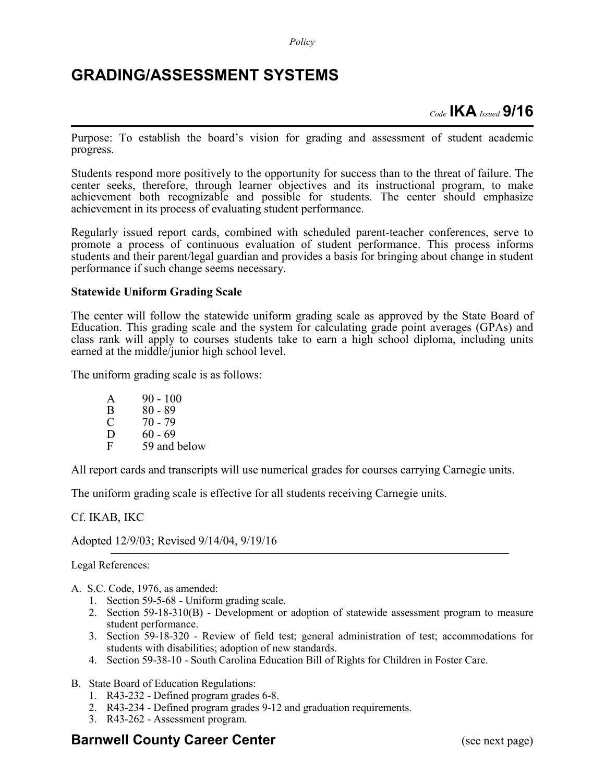*Policy*

## **GRADING/ASSESSMENT SYSTEMS**

*Code* **IKA** *Issued* **9/16**

Purpose: To establish the board's vision for grading and assessment of student academic progress.

Students respond more positively to the opportunity for success than to the threat of failure. The center seeks, therefore, through learner objectives and its instructional program, to make achievement both recognizable and possible for students. The center should emphasize achievement in its process of evaluating student performance.

Regularly issued report cards, combined with scheduled parent-teacher conferences, serve to promote a process of continuous evaluation of student performance. This process informs students and their parent/legal guardian and provides a basis for bringing about change in student performance if such change seems necessary.

## **Statewide Uniform Grading Scale**

The center will follow the statewide uniform grading scale as approved by the State Board of Education. This grading scale and the system for calculating grade point averages (GPAs) and class rank will apply to courses students take to earn a high school diploma, including units earned at the middle/junior high school level.

The uniform grading scale is as follows:

| A            | $90 - 100$   |
|--------------|--------------|
| B            | $80 - 89$    |
| C            | 70 - 79      |
| $\mathbf{D}$ | 60 - 69      |
| F            | 59 and below |

All report cards and transcripts will use numerical grades for courses carrying Carnegie units.

The uniform grading scale is effective for all students receiving Carnegie units.

Cf. IKAB, IKC

Adopted 12/9/03; Revised 9/14/04, 9/19/16

Legal References:

- A. S.C. Code, 1976, as amended:
	- 1. Section 59-5-68 Uniform grading scale.
	- 2. Section 59-18-310(B) Development or adoption of statewide assessment program to measure student performance.
	- 3. Section 59-18-320 Review of field test; general administration of test; accommodations for students with disabilities; adoption of new standards.
	- 4. Section 59-38-10 South Carolina Education Bill of Rights for Children in Foster Care.
- B. State Board of Education Regulations:
	- 1. R43-232 Defined program grades 6-8.
	- 2. R43-234 Defined program grades 9-12 and graduation requirements.
	- 3. R43-262 Assessment program.

## **Barnwell County Career Center** (see next page)